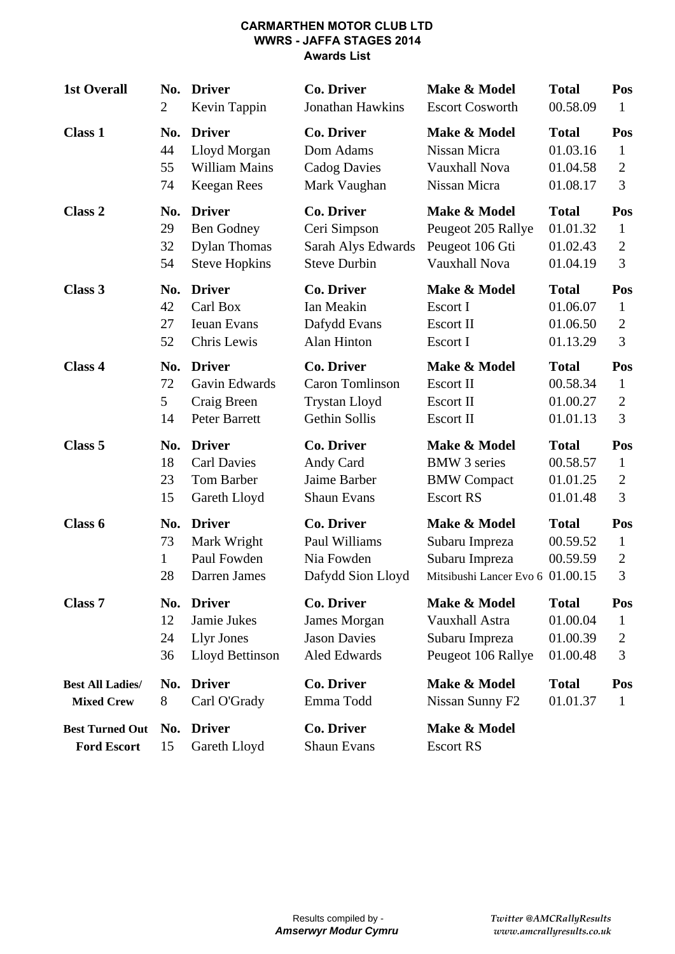#### **CARMARTHEN MOTOR CLUB LTD WWRS - JAFFA STAGES 2014 Awards List**

| <b>1st Overall</b>                           | <b>Driver</b><br>No.<br>$\overline{2}$<br>Kevin Tappin |                                                             | <b>Co. Driver</b><br>Jonathan Hawkins                                 | Make & Model<br><b>Escort Cosworth</b>                                               | <b>Total</b><br>00.58.09             | Pos<br>$\mathbf{1}$                        |
|----------------------------------------------|--------------------------------------------------------|-------------------------------------------------------------|-----------------------------------------------------------------------|--------------------------------------------------------------------------------------|--------------------------------------|--------------------------------------------|
| <b>Class 1</b>                               | No.                                                    | <b>Driver</b>                                               | <b>Co. Driver</b>                                                     | Make & Model                                                                         | <b>Total</b>                         | Pos                                        |
|                                              | 44                                                     | Lloyd Morgan                                                | Dom Adams                                                             | Nissan Micra                                                                         | 01.03.16                             | $\mathbf{1}$                               |
|                                              | 55                                                     | <b>William Mains</b>                                        | <b>Cadog Davies</b>                                                   | Vauxhall Nova                                                                        | 01.04.58                             | $\overline{2}$                             |
|                                              | 74                                                     | <b>Keegan Rees</b>                                          | Mark Vaughan                                                          | Nissan Micra                                                                         | 01.08.17                             | 3                                          |
| Class 2                                      | No.                                                    | <b>Driver</b>                                               | <b>Co. Driver</b>                                                     | Make & Model                                                                         | <b>Total</b>                         | Pos                                        |
|                                              | 29                                                     | <b>Ben Godney</b>                                           | Ceri Simpson                                                          | Peugeot 205 Rallye                                                                   | 01.01.32                             | $\mathbf{1}$                               |
|                                              | 32                                                     | <b>Dylan Thomas</b>                                         | Sarah Alys Edwards                                                    | Peugeot 106 Gti                                                                      | 01.02.43                             | $\overline{2}$                             |
|                                              | 54                                                     | <b>Steve Hopkins</b>                                        | <b>Steve Durbin</b>                                                   | Vauxhall Nova                                                                        | 01.04.19                             | 3                                          |
| Class 3                                      | No.                                                    | <b>Driver</b>                                               | Co. Driver                                                            | Make & Model                                                                         | <b>Total</b>                         | Pos                                        |
|                                              | 42                                                     | Carl Box                                                    | Ian Meakin                                                            | Escort I                                                                             | 01.06.07                             | $\mathbf{1}$                               |
|                                              | 27                                                     | <b>Ieuan Evans</b>                                          | Dafydd Evans                                                          | <b>Escort II</b>                                                                     | 01.06.50                             | $\overline{2}$                             |
|                                              | 52                                                     | Chris Lewis                                                 | Alan Hinton                                                           | Escort I                                                                             | 01.13.29                             | 3                                          |
| Class 4                                      | No.                                                    | <b>Driver</b>                                               | <b>Co. Driver</b>                                                     | Make & Model                                                                         | <b>Total</b>                         | Pos                                        |
|                                              | 72                                                     | Gavin Edwards                                               | Caron Tomlinson                                                       | Escort II                                                                            | 00.58.34                             | $\mathbf{1}$                               |
|                                              | 5                                                      | Craig Breen                                                 | <b>Trystan Lloyd</b>                                                  | <b>Escort II</b>                                                                     | 01.00.27                             | $\overline{2}$                             |
|                                              | 14                                                     | Peter Barrett                                               | Gethin Sollis                                                         | Escort II                                                                            | 01.01.13                             | 3                                          |
| Class 5                                      | No.                                                    | <b>Driver</b>                                               | <b>Co. Driver</b>                                                     | Make & Model                                                                         | <b>Total</b>                         | Pos                                        |
|                                              | 18                                                     | <b>Carl Davies</b>                                          | Andy Card                                                             | <b>BMW</b> 3 series                                                                  | 00.58.57                             | $\mathbf{1}$                               |
|                                              | 23                                                     | Tom Barber                                                  | Jaime Barber                                                          | <b>BMW</b> Compact                                                                   | 01.01.25                             | $\overline{2}$                             |
|                                              | 15                                                     | Gareth Lloyd                                                | <b>Shaun Evans</b>                                                    | <b>Escort RS</b>                                                                     | 01.01.48                             | 3                                          |
| Class 6                                      | No.<br>73<br>$\mathbf{1}$<br>28                        | <b>Driver</b><br>Mark Wright<br>Paul Fowden<br>Darren James | <b>Co. Driver</b><br>Paul Williams<br>Nia Fowden<br>Dafydd Sion Lloyd | Make & Model<br>Subaru Impreza<br>Subaru Impreza<br>Mitsibushi Lancer Evo 6 01.00.15 | <b>Total</b><br>00.59.52<br>00.59.59 | Pos<br>$\mathbf{1}$<br>$\overline{2}$<br>3 |
| <b>Class 7</b>                               | No.                                                    | <b>Driver</b>                                               | Co. Driver                                                            | Make & Model                                                                         | <b>Total</b>                         | Pos                                        |
|                                              | 12                                                     | Jamie Jukes                                                 | James Morgan                                                          | Vauxhall Astra                                                                       | 01.00.04                             | 1                                          |
|                                              | 24                                                     | <b>Llyr Jones</b>                                           | <b>Jason Davies</b>                                                   | Subaru Impreza                                                                       | 01.00.39                             | $\overline{c}$                             |
|                                              | 36                                                     | Lloyd Bettinson                                             | Aled Edwards                                                          | Peugeot 106 Rallye                                                                   | 01.00.48                             | 3                                          |
| <b>Best All Ladies/</b>                      | No.                                                    | <b>Driver</b>                                               | <b>Co. Driver</b>                                                     | Make & Model                                                                         | <b>Total</b>                         | Pos                                        |
| <b>Mixed Crew</b>                            | 8                                                      | Carl O'Grady                                                | Emma Todd                                                             | Nissan Sunny F <sub>2</sub>                                                          | 01.01.37                             | $\mathbf{1}$                               |
| <b>Best Turned Out</b><br><b>Ford Escort</b> | No.<br>15                                              | <b>Driver</b><br>Gareth Lloyd                               | <b>Co. Driver</b><br><b>Shaun Evans</b>                               | Make & Model<br><b>Escort RS</b>                                                     |                                      |                                            |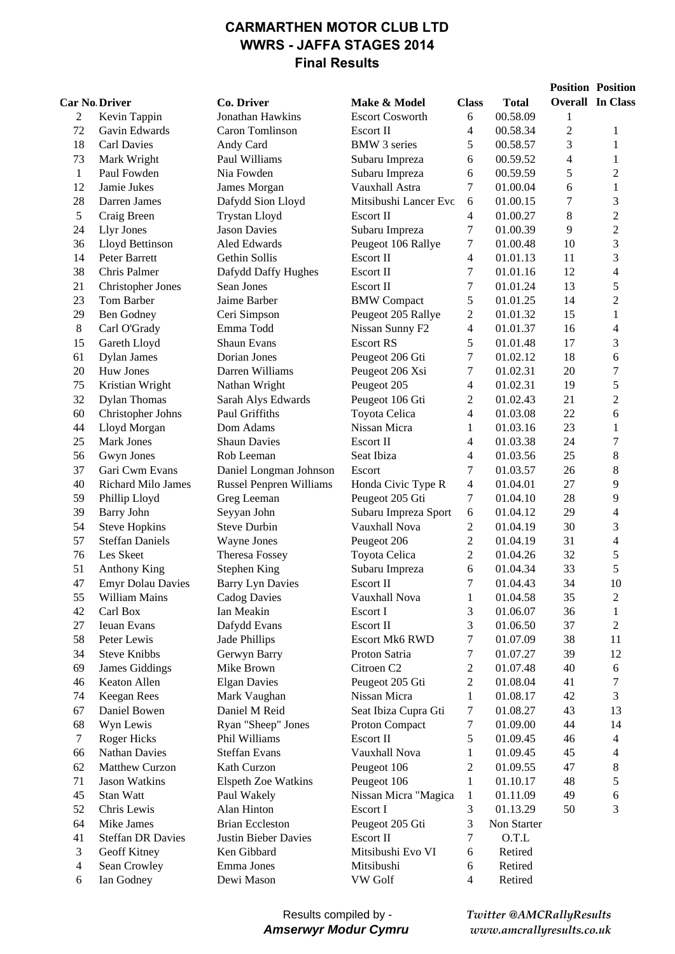### **CARMARTHEN MOTOR CLUB LTD WWRS - JAFFA STAGES 2014 Final Results**

|                      |                           |                                |                        |                |              |                | <b>Position Position</b> |
|----------------------|---------------------------|--------------------------------|------------------------|----------------|--------------|----------------|--------------------------|
| <b>Car No Driver</b> |                           | Co. Driver                     | Make & Model           | <b>Class</b>   | <b>Total</b> |                | <b>Overall In Class</b>  |
| 2                    | Kevin Tappin              | Jonathan Hawkins               | <b>Escort Cosworth</b> | 6              | 00.58.09     | 1              |                          |
| 72                   | Gavin Edwards             | Caron Tomlinson                | Escort II              | 4              | 00.58.34     | $\overline{c}$ | 1                        |
| 18                   | <b>Carl Davies</b>        | Andy Card                      | <b>BMW</b> 3 series    | 5              | 00.58.57     | 3              | $\mathbf{1}$             |
| 73                   | Mark Wright               | Paul Williams                  | Subaru Impreza         | 6              | 00.59.52     | 4              | $\mathbf{1}$             |
| $\mathbf{1}$         | Paul Fowden               | Nia Fowden                     | Subaru Impreza         | 6              | 00.59.59     | 5              | $\overline{c}$           |
| 12                   | Jamie Jukes               | James Morgan                   | Vauxhall Astra         | 7              | 01.00.04     | 6              | $\mathbf{1}$             |
| 28                   | Darren James              | Dafydd Sion Lloyd              | Mitsibushi Lancer Evc  | 6              | 01.00.15     | 7              | 3                        |
| $\sqrt{5}$           | Craig Breen               | <b>Trystan Lloyd</b>           | Escort II              | $\overline{4}$ | 01.00.27     | 8              | $\overline{c}$           |
| 24                   | <b>Llyr Jones</b>         | <b>Jason Davies</b>            | Subaru Impreza         | 7              | 01.00.39     | 9              | $\overline{c}$           |
| 36                   | Lloyd Bettinson           | Aled Edwards                   | Peugeot 106 Rallye     | 7              | 01.00.48     | 10             | 3                        |
| 14                   | Peter Barrett             | Gethin Sollis                  | Escort II              | 4              | 01.01.13     | 11             | 3                        |
| 38                   | Chris Palmer              | Dafydd Daffy Hughes            | Escort II              | 7              | 01.01.16     | 12             | $\overline{\mathcal{L}}$ |
| 21                   | <b>Christopher Jones</b>  | Sean Jones                     | Escort II              | 7              | 01.01.24     | 13             | 5                        |
| 23                   | Tom Barber                | Jaime Barber                   | <b>BMW</b> Compact     | 5              | 01.01.25     | 14             | $\overline{c}$           |
| 29                   | <b>Ben Godney</b>         | Ceri Simpson                   | Peugeot 205 Rallye     | $\overline{c}$ | 01.01.32     | 15             | $\mathbf{1}$             |
| $\,8\,$              | Carl O'Grady              | Emma Todd                      | Nissan Sunny F2        | $\overline{4}$ | 01.01.37     | 16             | 4                        |
| 15                   | Gareth Lloyd              | Shaun Evans                    | <b>Escort RS</b>       | 5              | 01.01.48     | 17             | 3                        |
| 61                   | <b>Dylan James</b>        | Dorian Jones                   | Peugeot 206 Gti        | 7              | 01.02.12     | 18             | 6                        |
| 20                   | Huw Jones                 | Darren Williams                | Peugeot 206 Xsi        | 7              | 01.02.31     | $20\,$         | $\overline{7}$           |
| 75                   | Kristian Wright           | Nathan Wright                  | Peugeot 205            | 4              | 01.02.31     | 19             | 5                        |
| 32                   | <b>Dylan Thomas</b>       | Sarah Alys Edwards             | Peugeot 106 Gti        | 2              | 01.02.43     | 21             | $\overline{c}$           |
| 60                   | Christopher Johns         | Paul Griffiths                 | Toyota Celica          | 4              | 01.03.08     | 22             | 6                        |
| 44                   | Lloyd Morgan              | Dom Adams                      | Nissan Micra           | 1              | 01.03.16     | 23             | $\mathbf{1}$             |
| 25                   | Mark Jones                | <b>Shaun Davies</b>            | Escort II              | 4              | 01.03.38     | 24             | $\overline{7}$           |
| 56                   | Gwyn Jones                | Rob Leeman                     | Seat Ibiza             | $\overline{4}$ | 01.03.56     | 25             | $\,8\,$                  |
| 37                   | Gari Cwm Evans            | Daniel Longman Johnson         | Escort                 | $\tau$         | 01.03.57     | 26             | 8                        |
| 40                   | <b>Richard Milo James</b> | <b>Russel Penpren Williams</b> | Honda Civic Type R     | $\overline{4}$ | 01.04.01     | 27             | 9                        |
| 59                   | Phillip Lloyd             | Greg Leeman                    | Peugeot 205 Gti        | 7              | 01.04.10     | 28             | 9                        |
| 39                   | <b>Barry John</b>         | Seyyan John                    | Subaru Impreza Sport   | 6              | 01.04.12     | 29             | 4                        |
| 54                   | <b>Steve Hopkins</b>      | <b>Steve Durbin</b>            | Vauxhall Nova          | 2              | 01.04.19     | 30             | 3                        |
| 57                   | <b>Steffan Daniels</b>    | Wayne Jones                    | Peugeot 206            | 2              | 01.04.19     | 31             | $\overline{4}$           |
| 76                   | Les Skeet                 | <b>Theresa Fossey</b>          | Toyota Celica          | 2              | 01.04.26     | 32             | 5                        |
| 51                   | <b>Anthony King</b>       | <b>Stephen King</b>            | Subaru Impreza         | 6              | 01.04.34     | 33             | 5                        |
| 47                   | <b>Emyr Dolau Davies</b>  | <b>Barry Lyn Davies</b>        | Escort II              | 7              | 01.04.43     | 34             | 10                       |
| 55                   | William Mains             | <b>Cadog Davies</b>            | Vauxhall Nova          | 1              | 01.04.58     | 35             | $\overline{c}$           |
| 42                   | Carl Box                  | Ian Meakin                     | Escort I               | 3              | 01.06.07     | 36             | 1                        |
| 27                   | <b>Ieuan Evans</b>        | Dafydd Evans                   | Escort II              | 3              | 01.06.50     | 37             | 2                        |
| 58                   | Peter Lewis               | Jade Phillips                  | <b>Escort Mk6 RWD</b>  | 7              | 01.07.09     | 38             | 11                       |
| 34                   | <b>Steve Knibbs</b>       | Gerwyn Barry                   | Proton Satria          | 7              | 01.07.27     | 39             | 12                       |
| 69                   | James Giddings            | Mike Brown                     | Citroen <sub>C2</sub>  | 2              | 01.07.48     | 40             | 6                        |
| 46                   | Keaton Allen              | <b>Elgan Davies</b>            | Peugeot 205 Gti        | 2              | 01.08.04     | 41             | 7                        |
| 74                   | <b>Keegan Rees</b>        | Mark Vaughan                   | Nissan Micra           | 1              | 01.08.17     | 42             | 3                        |
| 67                   | Daniel Bowen              | Daniel M Reid                  | Seat Ibiza Cupra Gti   | 7              | 01.08.27     | 43             | 13                       |
| 68                   | Wyn Lewis                 | Ryan "Sheep" Jones             | Proton Compact         | 7              | 01.09.00     | 44             | 14                       |
| 7                    | Roger Hicks               | Phil Williams                  | Escort II              | 5              | 01.09.45     | 46             | 4                        |
| 66                   | <b>Nathan Davies</b>      | <b>Steffan Evans</b>           | Vauxhall Nova          | 1              | 01.09.45     | 45             | 4                        |
| 62                   | Matthew Curzon            | Kath Curzon                    | Peugeot 106            | 2              | 01.09.55     | 47             | 8                        |
| 71                   | Jason Watkins             | Elspeth Zoe Watkins            | Peugeot 106            | 1              | 01.10.17     | 48             | 5                        |
| 45                   | Stan Watt                 | Paul Wakely                    | Nissan Micra "Magica   | 1              | 01.11.09     | 49             | 6                        |
| 52                   | Chris Lewis               | Alan Hinton                    | Escort I               | 3              | 01.13.29     | 50             | 3                        |
| 64                   | Mike James                | <b>Brian Eccleston</b>         | Peugeot 205 Gti        | 3              | Non Starter  |                |                          |
| 41                   | <b>Steffan DR Davies</b>  | <b>Justin Bieber Davies</b>    | Escort II              | 7              | O.T.L        |                |                          |
| 3                    | Geoff Kitney              | Ken Gibbard                    | Mitsibushi Evo VI      | 6              | Retired      |                |                          |
| $\overline{4}$       | Sean Crowley              | Emma Jones                     | Mitsibushi             | 6              | Retired      |                |                          |
| 6                    | Ian Godney                | Dewi Mason                     | VW Golf                | $\overline{4}$ | Retired      |                |                          |

*Twitter @AMCRallyResults www.amcrallyresults.co.uk*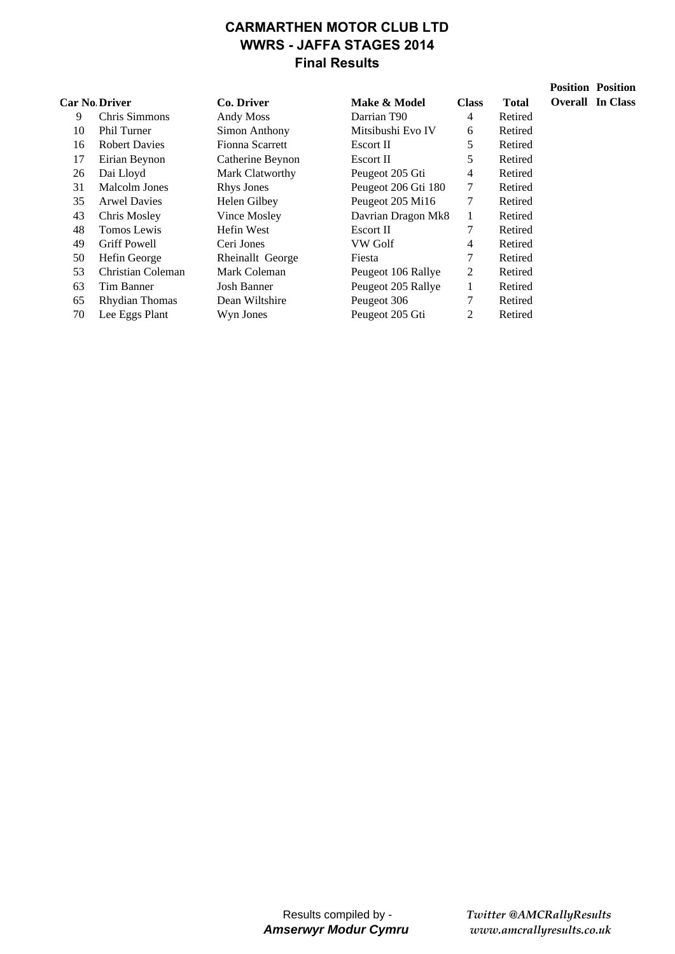# **CARMARTHEN MOTOR CLUB LTD WWRS - JAFFA STAGES 2014 Final Results**

|    | <b>Car No Driver</b> | Co. Driver             | Make & Model            | <b>Class</b> | <b>Total</b> |
|----|----------------------|------------------------|-------------------------|--------------|--------------|
| 9  | Chris Simmons        | Andy Moss              | Darrian T <sub>90</sub> | 4            | Retired      |
| 10 | <b>Phil Turner</b>   | Simon Anthony          | Mitsibushi Evo IV       | 6            | Retired      |
| 16 | <b>Robert Davies</b> | <b>Fionna Scarrett</b> | Escort II               | 5            | Retired      |
| 17 | Eirian Beynon        | Catherine Beynon       | Escort II               | 5            | Retired      |
| 26 | Dai Lloyd            | Mark Clatworthy        | Peugeot 205 Gti         | 4            | Retired      |
| 31 | Malcolm Jones        | <b>Rhys Jones</b>      | Peugeot 206 Gti 180     | 7            | Retired      |
| 35 | <b>Arwel Davies</b>  | Helen Gilbey           | Peugeot 205 Mi16        | 7            | Retired      |
| 43 | Chris Mosley         | Vince Mosley           | Davrian Dragon Mk8      | 1            | Retired      |
| 48 | Tomos Lewis          | Hefin West             | Escort II               |              | Retired      |
| 49 | <b>Griff Powell</b>  | Ceri Jones             | VW Golf                 | 4            | Retired      |
| 50 | Hefin George         | Rheinallt George       | Fiesta                  | 7            | Retired      |
| 53 | Christian Coleman    | Mark Coleman           | Peugeot 106 Rallye      | 2            | Retired      |
| 63 | Tim Banner           | Josh Banner            | Peugeot 205 Rallye      | 1            | Retired      |
| 65 | Rhydian Thomas       | Dean Wiltshire         | Peugeot 306             |              | Retired      |
| 70 | Lee Eggs Plant       | Wyn Jones              | Peugeot 205 Gti         | 2            | Retired      |

Results compiled by - *Amserwyr Modur Cymru* *Twitter @AMCRallyResults www.amcrallyresults.co.uk*

**Position Position** 

**Overall In Class**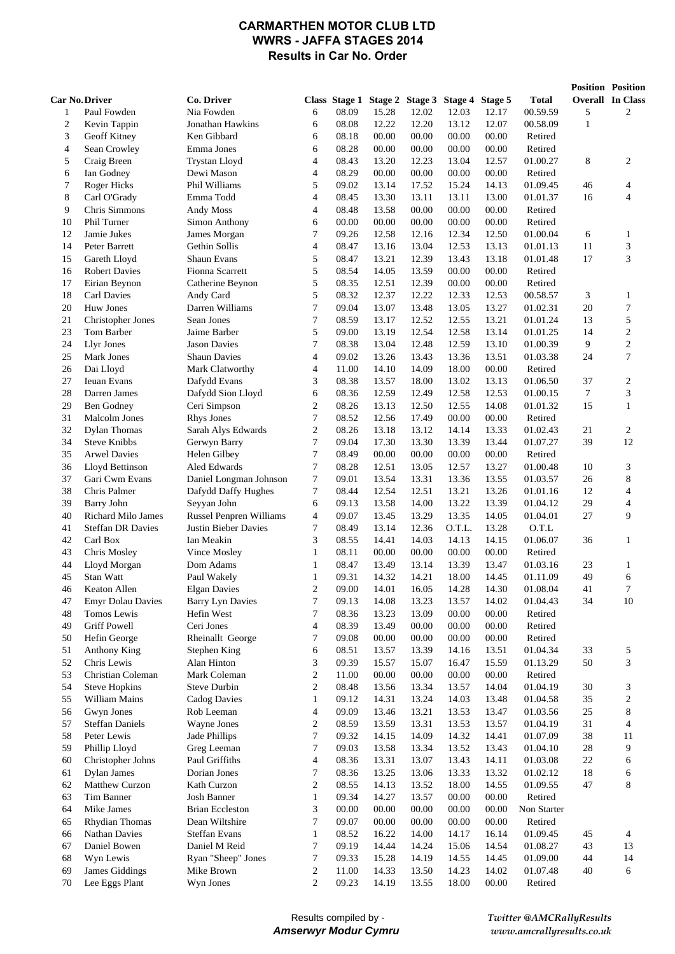#### **CARMARTHEN MOTOR CLUB LTD WWRS - JAFFA STAGES 2014 Results in Car No. Order**

|                       |                                    |                                |                         |                |                |                         |                |                |                      | <b>Position Position</b> |                         |
|-----------------------|------------------------------------|--------------------------------|-------------------------|----------------|----------------|-------------------------|----------------|----------------|----------------------|--------------------------|-------------------------|
| <b>Car No. Driver</b> |                                    | Co. Driver                     |                         | Class Stage 1  |                | Stage 2 Stage 3 Stage 4 |                | Stage 5        | Total                |                          | <b>Overall</b> In Class |
| 1                     | Paul Fowden                        | Nia Fowden                     | 6                       | 08.09          | 15.28          | 12.02                   | 12.03          | 12.17          | 00.59.59             | 5                        | 2                       |
| $\overline{c}$        | Kevin Tappin                       | Jonathan Hawkins               | 6                       | 08.08          | 12.22          | 12.20                   | 13.12          | 12.07          | 00.58.09             | $\mathbf{1}$             |                         |
| 3                     | Geoff Kitney                       | Ken Gibbard                    | 6                       | 08.18          | 00.00          | 00.00                   | 00.00          | 00.00          | Retired              |                          |                         |
| $\overline{4}$        | Sean Crowley                       | Emma Jones                     | 6                       | 08.28          | 00.00          | 00.00                   | 00.00          | 00.00          | Retired              |                          |                         |
| 5                     | Craig Breen                        | <b>Trystan Lloyd</b>           | 4                       | 08.43          | 13.20          | 12.23                   | 13.04          | 12.57          | 01.00.27             | 8                        | 2                       |
| 6                     | Ian Godney                         | Dewi Mason                     | 4                       | 08.29          | 00.00          | 00.00                   | 00.00          | 00.00          | Retired              |                          |                         |
| 7                     | Roger Hicks                        | Phil Williams                  | 5                       | 09.02          | 13.14          | 17.52                   | 15.24          | 14.13          | 01.09.45             | 46                       | 4                       |
| 8                     | Carl O'Grady                       | Emma Todd                      | $\overline{4}$          | 08.45          | 13.30          | 13.11                   | 13.11          | 13.00          | 01.01.37             | 16                       | 4                       |
| 9                     | Chris Simmons                      | Andy Moss                      | 4                       | 08.48          | 13.58          | 00.00                   | 00.00          | 00.00          | Retired              |                          |                         |
| 10                    | Phil Turner                        | Simon Anthony                  | 6                       | 00.00          | 00.00          | 00.00                   | 00.00          | 00.00          | Retired              |                          |                         |
| 12                    | Jamie Jukes                        | James Morgan                   | 7<br>4                  | 09.26<br>08.47 | 12.58          | 12.16                   | 12.34          | 12.50          | 01.00.04             | 6<br>11                  | 1                       |
| 14<br>15              | Peter Barrett<br>Gareth Lloyd      | Gethin Sollis<br>Shaun Evans   | 5                       | 08.47          | 13.16<br>13.21 | 13.04<br>12.39          | 12.53<br>13.43 | 13.13<br>13.18 | 01.01.13<br>01.01.48 | 17                       | 3<br>3                  |
| 16                    | <b>Robert Davies</b>               | Fionna Scarrett                | 5                       | 08.54          | 14.05          | 13.59                   | 00.00          | 00.00          | Retired              |                          |                         |
| 17                    | Eirian Beynon                      | Catherine Beynon               | 5                       | 08.35          | 12.51          | 12.39                   | 00.00          | 00.00          | Retired              |                          |                         |
| 18                    | Carl Davies                        | Andy Card                      | 5                       | 08.32          | 12.37          | 12.22                   | 12.33          | 12.53          | 00.58.57             | 3                        | 1                       |
| 20                    | Huw Jones                          | Darren Williams                | 7                       | 09.04          | 13.07          | 13.48                   | 13.05          | 13.27          | 01.02.31             | 20                       | 7                       |
| 21                    | <b>Christopher Jones</b>           | Sean Jones                     | 7                       | 08.59          | 13.17          | 12.52                   | 12.55          | 13.21          | 01.01.24             | 13                       | 5                       |
| 23                    | Tom Barber                         | Jaime Barber                   | 5                       | 09.00          | 13.19          | 12.54                   | 12.58          | 13.14          | 01.01.25             | 14                       | 2                       |
| 24                    | Llyr Jones                         | <b>Jason Davies</b>            | 7                       | 08.38          | 13.04          | 12.48                   | 12.59          | 13.10          | 01.00.39             | 9                        | $\sqrt{2}$              |
| 25                    | Mark Jones                         | <b>Shaun Davies</b>            | 4                       | 09.02          | 13.26          | 13.43                   | 13.36          | 13.51          | 01.03.38             | 24                       | 7                       |
| 26                    | Dai Lloyd                          | Mark Clatworthy                | 4                       | 11.00          | 14.10          | 14.09                   | 18.00          | 00.00          | Retired              |                          |                         |
| 27                    | <b>Ieuan Evans</b>                 | Dafydd Evans                   | 3                       | 08.38          | 13.57          | 18.00                   | 13.02          | 13.13          | 01.06.50             | 37                       | 2                       |
| 28                    | Darren James                       | Dafydd Sion Lloyd              | 6                       | 08.36          | 12.59          | 12.49                   | 12.58          | 12.53          | 01.00.15             | 7                        | 3                       |
| 29                    | Ben Godney                         | Ceri Simpson                   | $\overline{\mathbf{c}}$ | 08.26          | 13.13          | 12.50                   | 12.55          | 14.08          | 01.01.32             | 15                       | $\mathbf{1}$            |
| 31                    | Malcolm Jones                      | <b>Rhys Jones</b>              | 7                       | 08.52          | 12.56          | 17.49                   | 00.00          | 00.00          | Retired              |                          |                         |
| 32                    | <b>Dylan Thomas</b>                | Sarah Alys Edwards             | 2                       | 08.26          | 13.18          | 13.12                   | 14.14          | 13.33          | 01.02.43             | 21                       | 2                       |
| 34                    | <b>Steve Knibbs</b>                | Gerwyn Barry                   | 7                       | 09.04          | 17.30          | 13.30                   | 13.39          | 13.44          | 01.07.27             | 39                       | 12                      |
| 35                    | <b>Arwel Davies</b>                | Helen Gilbey                   | 7                       | 08.49          | 00.00          | 00.00                   | 00.00          | 00.00          | Retired              |                          |                         |
| 36                    | Lloyd Bettinson                    | Aled Edwards                   | 7                       | 08.28          | 12.51          | 13.05                   | 12.57          | 13.27          | 01.00.48             | 10                       | 3                       |
| 37                    | Gari Cwm Evans                     | Daniel Longman Johnson         | 7                       | 09.01          | 13.54          | 13.31                   | 13.36          | 13.55          | 01.03.57             | 26                       | 8                       |
| 38                    | Chris Palmer                       | Dafydd Daffy Hughes            | 7                       | 08.44          | 12.54          | 12.51                   | 13.21          | 13.26          | 01.01.16             | 12                       | $\overline{4}$          |
| 39                    | Barry John                         | Seyyan John                    | 6                       | 09.13          | 13.58          | 14.00                   | 13.22          | 13.39          | 01.04.12             | 29                       | 4                       |
| 40                    | Richard Milo James                 | <b>Russel Penpren Williams</b> | 4                       | 09.07          | 13.45          | 13.29                   | 13.35          | 14.05          | 01.04.01             | 27                       | 9                       |
| 41                    | <b>Steffan DR Davies</b>           | Justin Bieber Davies           | 7                       | 08.49          | 13.14          | 12.36                   | O.T.L.         | 13.28          | O.T.L                |                          |                         |
| 42                    | Carl Box                           | Ian Meakin                     | 3                       | 08.55          | 14.41          | 14.03                   | 14.13          | 14.15          | 01.06.07             | 36                       | $\mathbf{1}$            |
| 43                    | Chris Mosley                       | Vince Mosley                   | 1                       | 08.11          | 00.00          | 00.00                   | 00.00          | 00.00          | Retired              |                          |                         |
| 44                    | Lloyd Morgan                       | Dom Adams                      | 1                       | 08.47          | 13.49          | 13.14                   | 13.39          | 13.47          | 01.03.16             | 23                       | 1                       |
| 45                    | Stan Watt                          | Paul Wakely                    | $\mathbf{1}$            | 09.31          | 14.32          | 14.21                   | 18.00          | 14.45          | 01.11.09             | 49                       | 6                       |
| 46                    | Keaton Allen                       | <b>Elgan Davies</b>            | $\overline{\mathbf{c}}$ | 09.00          | 14.01          | 16.05                   | 14.28          | 14.30          | 01.08.04             | 41                       | 7                       |
| 47                    | <b>Emyr Dolau Davies</b>           | <b>Barry Lyn Davies</b>        | 7                       | 09.13          | 14.08          | 13.23                   | 13.57          | 14.02          | 01.04.43             | 34                       | $10\,$                  |
| 48<br>49              | Tomos Lewis<br><b>Griff Powell</b> | Hefin West<br>Ceri Jones       | 7<br>4                  | 08.36<br>08.39 | 13.23<br>13.49 | 13.09                   | 00.00<br>00.00 | 00.00<br>00.00 | Retired<br>Retired   |                          |                         |
| 50                    | Hefin George                       | Rheinallt George               | 7                       | 09.08          | 00.00          | 00.00<br>00.00          | 00.00          | 00.00          | Retired              |                          |                         |
| 51                    | Anthony King                       | Stephen King                   | 6                       | 08.51          | 13.57          | 13.39                   | 14.16          | 13.51          | 01.04.34             | 33                       | 5                       |
| 52                    | Chris Lewis                        | Alan Hinton                    | 3                       | 09.39          | 15.57          | 15.07                   | 16.47          | 15.59          | 01.13.29             | 50                       | 3                       |
| 53                    | Christian Coleman                  | Mark Coleman                   | 2                       | 11.00          | 00.00          | 00.00                   | 00.00          | 00.00          | Retired              |                          |                         |
| 54                    | <b>Steve Hopkins</b>               | Steve Durbin                   | 2                       | 08.48          | 13.56          | 13.34                   | 13.57          | 14.04          | 01.04.19             | 30                       | 3                       |
| 55                    | William Mains                      | <b>Cadog Davies</b>            | $\mathbf{1}$            | 09.12          | 14.31          | 13.24                   | 14.03          | 13.48          | 01.04.58             | 35                       | $\overline{c}$          |
| 56                    | Gwyn Jones                         | Rob Leeman                     | 4                       | 09.09          | 13.46          | 13.21                   | 13.53          | 13.47          | 01.03.56             | 25                       | 8                       |
| 57                    | <b>Steffan Daniels</b>             | Wayne Jones                    | 2                       | 08.59          | 13.59          | 13.31                   | 13.53          | 13.57          | 01.04.19             | 31                       | 4                       |
| 58                    | Peter Lewis                        | Jade Phillips                  | 7                       | 09.32          | 14.15          | 14.09                   | 14.32          | 14.41          | 01.07.09             | 38                       | 11                      |
| 59                    | Phillip Lloyd                      | Greg Leeman                    | 7                       | 09.03          | 13.58          | 13.34                   | 13.52          | 13.43          | 01.04.10             | $28\,$                   | 9                       |
| 60                    | Christopher Johns                  | Paul Griffiths                 | 4                       | 08.36          | 13.31          | 13.07                   | 13.43          | 14.11          | 01.03.08             | 22                       | 6                       |
| 61                    | Dylan James                        | Dorian Jones                   | 7                       | 08.36          | 13.25          | 13.06                   | 13.33          | 13.32          | 01.02.12             | 18                       | 6                       |
| 62                    | Matthew Curzon                     | Kath Curzon                    | 2                       | 08.55          | 14.13          | 13.52                   | 18.00          | 14.55          | 01.09.55             | 47                       | 8                       |
| 63                    | Tim Banner                         | Josh Banner                    | $\mathbf{1}$            | 09.34          | 14.27          | 13.57                   | 00.00          | 00.00          | Retired              |                          |                         |
| 64                    | Mike James                         | <b>Brian Eccleston</b>         | 3                       | 00.00          | 00.00          | 00.00                   | 00.00          | 00.00          | Non Starter          |                          |                         |
| 65                    | Rhydian Thomas                     | Dean Wiltshire                 | 7                       | 09.07          | 00.00          | 00.00                   | 00.00          | 00.00          | Retired              |                          |                         |
| 66                    | Nathan Davies                      | <b>Steffan Evans</b>           | $\mathbf{1}$            | 08.52          | 16.22          | 14.00                   | 14.17          | 16.14          | 01.09.45             | 45                       | 4                       |
| 67                    | Daniel Bowen                       | Daniel M Reid                  | 7                       | 09.19          | 14.44          | 14.24                   | 15.06          | 14.54          | 01.08.27             | 43                       | 13                      |
| 68                    | Wyn Lewis                          | Ryan "Sheep" Jones             | 7                       | 09.33          | 15.28          | 14.19                   | 14.55          | 14.45          | 01.09.00             | 44                       | 14                      |
| 69                    | James Giddings                     | Mike Brown                     | 2                       | 11.00          | 14.33          | 13.50                   | 14.23          | 14.02          | 01.07.48             | 40                       | 6                       |
| 70                    | Lee Eggs Plant                     | Wyn Jones                      | $\overline{2}$          | 09.23          | 14.19          | 13.55                   | 18.00          | 00.00          | Retired              |                          |                         |

*Twitter @AMCRallyResults www.amcrallyresults.co.uk*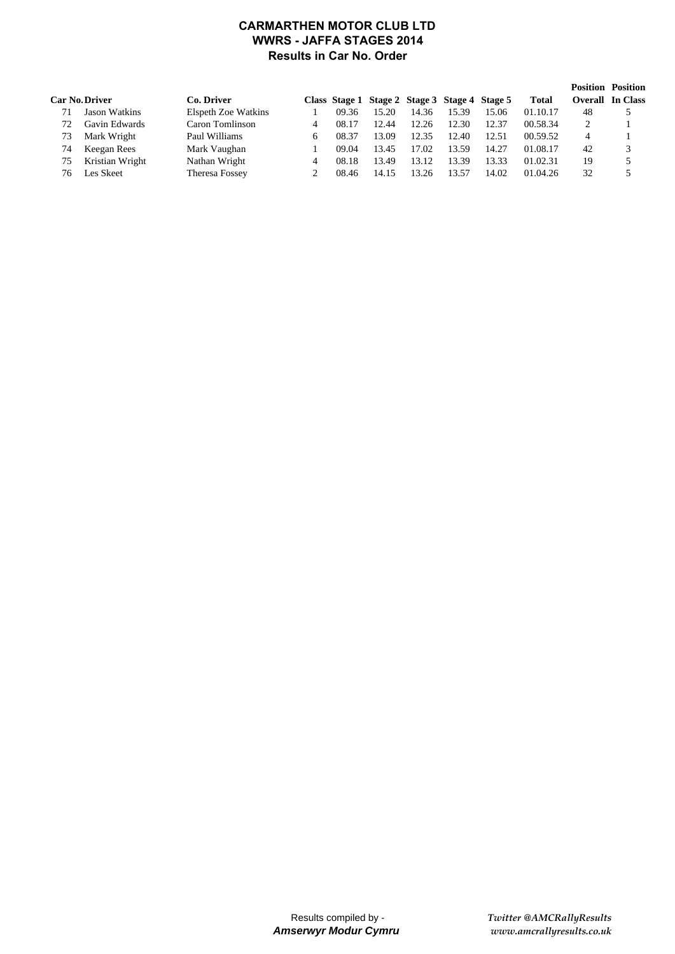### **CARMARTHEN MOTOR CLUB LTD WWRS - JAFFA STAGES 2014 Results in Car No. Order**

|    |                       |                     |       |                                               |       |       |       |              |                | <b>Position Position</b> |
|----|-----------------------|---------------------|-------|-----------------------------------------------|-------|-------|-------|--------------|----------------|--------------------------|
|    | <b>Car No. Driver</b> | Co. Driver          |       | Class Stage 1 Stage 2 Stage 3 Stage 4 Stage 5 |       |       |       | <b>Total</b> | <b>Overall</b> | <b>In Class</b>          |
|    | Jason Watkins         | Elspeth Zoe Watkins | 09.36 | 15.20                                         | 14.36 | 15.39 | 15.06 | 01.10.17     | 48             |                          |
| 72 | Gavin Edwards         | Caron Tomlinson     | 08.17 | 12.44                                         | 12.26 | 12.30 | 12.37 | 00.58.34     |                |                          |
| 73 | Mark Wright           | Paul Williams       | 08.37 | 13.09                                         | 12.35 | 12.40 | 12.51 | 00.59.52     | 4              |                          |
| 74 | Keegan Rees           | Mark Vaughan        | 09.04 | 13.45                                         | 17.02 | 13.59 | 14.27 | 01.08.17     | 42             | 3                        |
| 75 | Kristian Wright       | Nathan Wright       | 08.18 | 13.49                                         | 13.12 | 13.39 | 13.33 | 01.02.31     | 19             |                          |
| 76 | Les Skeet             | Theresa Fossey      | 08.46 | 14.15                                         | 13.26 | 13.57 | 14.02 | 01.04.26     | 32             |                          |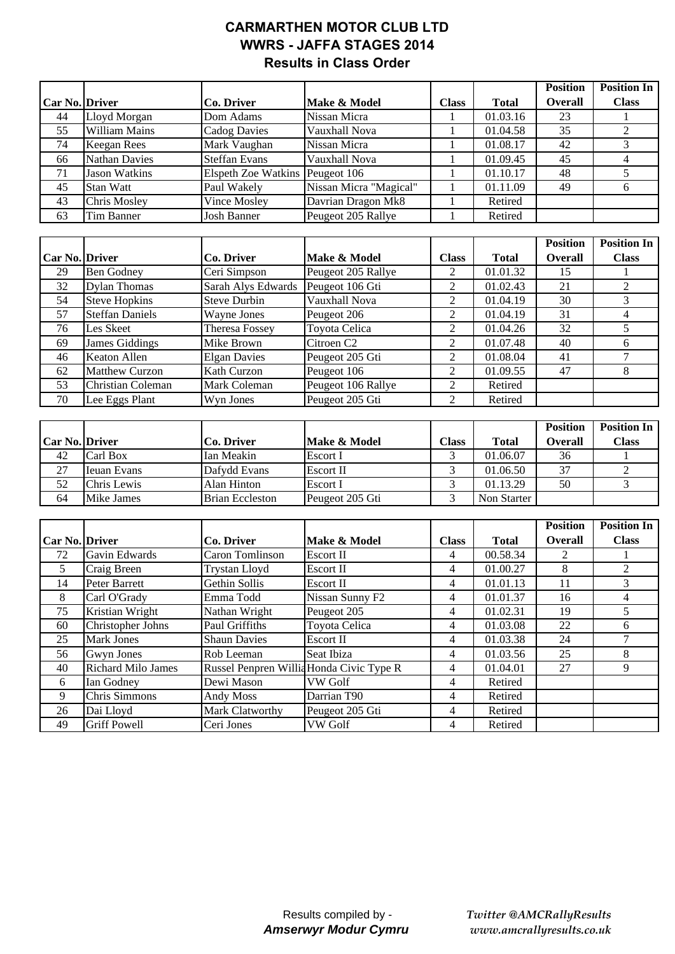# **CARMARTHEN MOTOR CLUB LTD WWRS - JAFFA STAGES 2014 Results in Class Order**

|                       |                                  |                               |                                              |                     |                    | <b>Position</b> | <b>Position In</b> |
|-----------------------|----------------------------------|-------------------------------|----------------------------------------------|---------------------|--------------------|-----------------|--------------------|
| <b>Car No. Driver</b> |                                  | Co. Driver                    | <b>Total</b><br><b>Class</b><br>Make & Model |                     | <b>Overall</b>     | <b>Class</b>    |                    |
| 44                    | Lloyd Morgan                     | Dom Adams                     | Nissan Micra                                 |                     | 01.03.16           | 23              |                    |
| $\overline{55}$       | <b>William Mains</b>             | <b>Cadog Davies</b>           | Vauxhall Nova                                | 1                   | 01.04.58           | $\overline{35}$ | $\overline{2}$     |
| 74                    | <b>Keegan Rees</b>               | Mark Vaughan                  | Nissan Micra                                 | 1                   | 01.08.17           | 42              | 3                  |
| 66                    | <b>Nathan Davies</b>             | <b>Steffan Evans</b>          | Vauxhall Nova                                | 1                   | 01.09.45           | 45              | $\overline{4}$     |
| 71                    | <b>Jason Watkins</b>             | Elspeth Zoe Watkins           | Peugeot 106                                  | 1                   | 01.10.17           | 48              | 5                  |
| 45                    | <b>Stan Watt</b>                 | Paul Wakely                   | Nissan Micra "Magical"                       | $\mathbf{1}$        | 01.11.09           | 49              | 6                  |
| 43                    | Chris Mosley                     | Vince Mosley                  | Davrian Dragon Mk8                           | $\mathbf{1}$        | Retired            |                 |                    |
| 63                    | Tim Banner                       | <b>Josh Banner</b>            | Peugeot 205 Rallye                           | 1                   | Retired            |                 |                    |
|                       |                                  |                               |                                              |                     |                    |                 |                    |
|                       |                                  |                               |                                              |                     |                    | <b>Position</b> | <b>Position In</b> |
| Car No. Driver        |                                  | Co. Driver                    | Make & Model                                 | <b>Class</b>        | <b>Total</b>       | Overall         | <b>Class</b>       |
| 29                    | <b>Ben Godney</b>                | Ceri Simpson                  | Peugeot 205 Rallye                           | $\overline{c}$      | 01.01.32           | 15              | 1                  |
| 32                    | <b>Dylan Thomas</b>              | Sarah Alys Edwards            | Peugeot 106 Gti                              | $\overline{c}$      | 01.02.43           | 21              | $\sqrt{2}$         |
| 54                    | <b>Steve Hopkins</b>             | <b>Steve Durbin</b>           | Vauxhall Nova                                | $\overline{2}$      | 01.04.19           | 30              | 3                  |
| 57                    | <b>Steffan Daniels</b>           | Wayne Jones                   | Peugeot 206                                  | $\overline{2}$      | 01.04.19           | $\overline{31}$ | $\overline{4}$     |
| 76                    | Les Skeet                        | <b>Theresa Fossey</b>         | Toyota Celica                                | $\overline{2}$      | 01.04.26           | 32              | 5                  |
| 69                    | <b>James Giddings</b>            | Mike Brown                    | Citroen <sub>C2</sub>                        | $\overline{2}$      | 01.07.48           | 40              | 6                  |
| 46                    | <b>Keaton Allen</b>              | <b>Elgan Davies</b>           | Peugeot 205 Gti                              | $\overline{2}$      | 01.08.04           | $\overline{41}$ | $\overline{7}$     |
| 62                    | <b>Matthew Curzon</b>            | <b>Kath Curzon</b>            | Peugeot 106                                  | $\overline{2}$      | 01.09.55           | 47              | 8                  |
| 53                    | Christian Coleman                | Mark Coleman                  | Peugeot 106 Rallye                           | $\overline{2}$      | Retired            |                 |                    |
| 70                    | Lee Eggs Plant                   | Wyn Jones                     | Peugeot 205 Gti                              | $\overline{2}$      | Retired            |                 |                    |
|                       |                                  |                               |                                              |                     |                    |                 |                    |
|                       |                                  |                               |                                              |                     |                    |                 |                    |
|                       |                                  |                               |                                              |                     |                    | <b>Position</b> | <b>Position In</b> |
| Car No. Driver        |                                  | Co. Driver                    | Make & Model                                 | <b>Class</b>        | <b>Total</b>       | <b>Overall</b>  | <b>Class</b>       |
| 42                    | Carl Box                         | Ian Meakin                    | Escort I                                     | 3                   | 01.06.07           | 36              | 1                  |
| 27                    | <b>Ieuan Evans</b>               | Dafydd Evans                  | Escort II                                    | 3                   | 01.06.50           | 37              | $\boldsymbol{2}$   |
| 52                    | Chris Lewis                      | Alan Hinton                   | Escort I                                     | 3                   | 01.13.29           | 50              | $\overline{3}$     |
| 64                    | <b>Mike James</b>                | <b>Brian Eccleston</b>        | Peugeot 205 Gti                              | 3                   | Non Starter        |                 |                    |
|                       |                                  |                               |                                              |                     |                    |                 |                    |
|                       |                                  |                               |                                              |                     |                    | <b>Position</b> | <b>Position In</b> |
| Car No. Driver        |                                  | <b>Co. Driver</b>             | Make & Model                                 | <b>Class</b>        | <b>Total</b>       | <b>Overall</b>  | <b>Class</b>       |
| 72                    | Gavin Edwards                    | <b>Caron Tomlinson</b>        | <b>Escort II</b>                             | 4                   | 00.58.34           | $\mathbf{2}$    | $\mathbf{1}$       |
| 5                     | Craig Breen                      | Trystan Lloyd                 | <b>Escort II</b>                             | $\overline{4}$      | 01.00.27           | $\overline{8}$  | $\sqrt{2}$         |
| 14                    | <b>Peter Barrett</b>             | Gethin Sollis                 | Escort II                                    | 4                   | 01.01.13           | 11              | $\overline{3}$     |
| 8                     | Carl O'Grady                     | Emma Todd                     | Nissan Sunny F2                              | 4                   | 01.01.37           | 16              | 4                  |
| 75                    | Kristian Wright                  | Nathan Wright                 | Peugeot 205                                  | $\overline{4}$      | 01.02.31           | 19              | $\overline{5}$     |
| 60                    | Christopher Johns                | Paul Griffiths                | Toyota Celica                                | 4                   | 01.03.08           | $22\,$          | 6                  |
| 25                    | <b>Mark Jones</b>                | <b>Shaun Davies</b>           | Escort II                                    | 4                   | 01.03.38           | 24              | 7                  |
| 56                    | Gwyn Jones                       | Rob Leeman                    | Seat Ibiza                                   | 4                   | 01.03.56           | 25              | 8                  |
| 40                    | Richard Milo James               | Russel Penpren Willia         | Honda Civic Type R                           | 4                   | 01.04.01           | 27              | 9                  |
| 6                     | Ian Godney                       | Dewi Mason                    | <b>VW Golf</b>                               | 4                   | Retired            |                 |                    |
| 9                     | Chris Simmons                    | Andy Moss                     | Darrian T90                                  | 4                   | Retired            |                 |                    |
| 26<br>49              | Dai Lloyd<br><b>Griff Powell</b> | Mark Clatworthy<br>Ceri Jones | Peugeot 205 Gti<br>VW Golf                   | 4<br>$\overline{4}$ | Retired<br>Retired |                 |                    |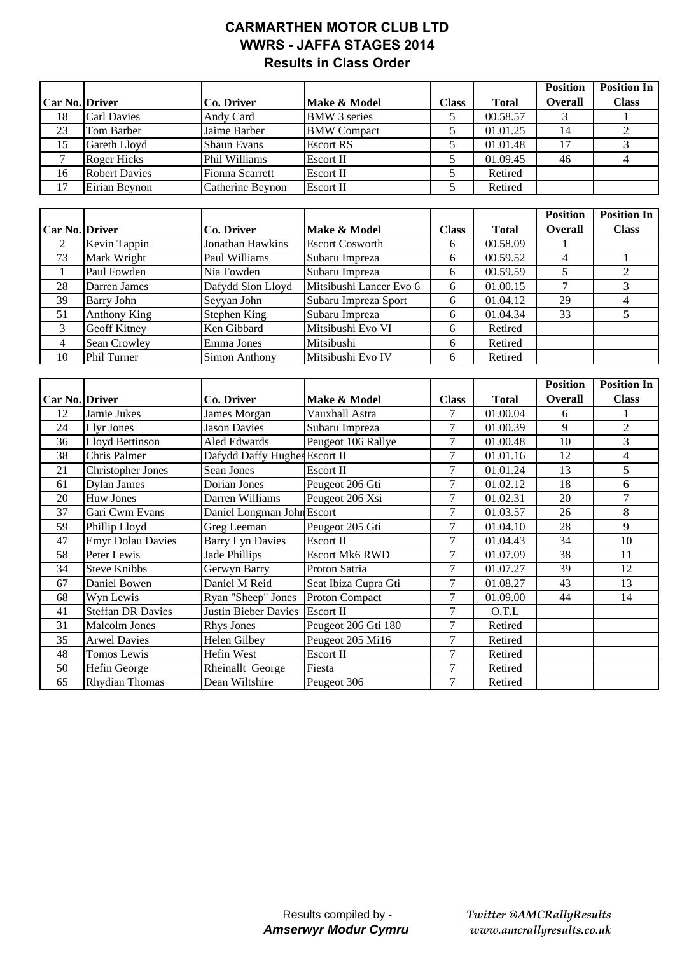# **CARMARTHEN MOTOR CLUB LTD WWRS - JAFFA STAGES 2014 Results in Class Order**

|                       |                      |                    |                     |       |              | <b>Position</b> | <b>Position In</b> |
|-----------------------|----------------------|--------------------|---------------------|-------|--------------|-----------------|--------------------|
| <b>Car No. Driver</b> |                      | Co. Driver         | Make & Model        | Class | <b>Total</b> | <b>Overall</b>  | <b>Class</b>       |
| 18                    | <b>Carl Davies</b>   | Andy Card          | <b>BMW</b> 3 series |       | 00.58.57     |                 |                    |
| 23                    | Tom Barber           | Jaime Barber       | <b>BMW</b> Compact  |       | 01.01.25     | 14              |                    |
| 15                    | Gareth Lloyd         | <b>Shaun Evans</b> | <b>Escort RS</b>    |       | 01.01.48     | 17              |                    |
|                       | <b>Roger Hicks</b>   | Phil Williams      | <b>Escort II</b>    |       | 01.09.45     | 46              |                    |
| 16                    | <b>Robert Davies</b> | Fionna Scarrett    | Escort II           |       | Retired      |                 |                    |
| 17                    | Eirian Bevnon        | Catherine Beynon   | Escort II           |       | Retired      |                 |                    |

|                       |                     |                      |                         |              |              | <b>Position</b> | <b>Position In</b> |
|-----------------------|---------------------|----------------------|-------------------------|--------------|--------------|-----------------|--------------------|
| <b>Car No. Driver</b> |                     | Co. Driver           | Make & Model            | <b>Class</b> | <b>Total</b> | <b>Overall</b>  | <b>Class</b>       |
| $\mathcal{L}$         | Kevin Tappin        | Jonathan Hawkins     | <b>Escort Cosworth</b>  | 6            | 00.58.09     |                 |                    |
| 73                    | Mark Wright         | Paul Williams        | Subaru Impreza          | 6            | 00.59.52     | 4               |                    |
|                       | Paul Fowden         | Nia Fowden           | Subaru Impreza          | 6            | 00.59.59     |                 |                    |
| 28                    | Darren James        | Dafydd Sion Lloyd    | Mitsibushi Lancer Evo 6 | 6            | 01.00.15     |                 |                    |
| 39                    | Barry John          | Seyyan John          | Subaru Impreza Sport    | 6            | 01.04.12     | 29              |                    |
| 51                    | Anthony King        | Stephen King         | Subaru Impreza          | 6            | 01.04.34     | 33              |                    |
| 3                     | <b>Geoff Kitney</b> | Ken Gibbard          | Mitsibushi Evo VI       | 6            | Retired      |                 |                    |
| $\overline{4}$        | Sean Crowley        | Emma Jones           | Mitsibushi              | 6            | Retired      |                 |                    |
| 10                    | <b>Phil Turner</b>  | <b>Simon Anthony</b> | Mitsibushi Evo IV       | 6            | Retired      |                 |                    |

|                |                          |                               |                       |              |              | <b>Position</b> | <b>Position In</b> |
|----------------|--------------------------|-------------------------------|-----------------------|--------------|--------------|-----------------|--------------------|
| Car No. Driver |                          | Co. Driver                    | Make & Model          | <b>Class</b> | <b>Total</b> | <b>Overall</b>  | <b>Class</b>       |
| 12             | Jamie Jukes              | James Morgan                  | Vauxhall Astra        | 7            | 01.00.04     | 6               |                    |
| 24             | <b>Llyr Jones</b>        | <b>Jason Davies</b>           | Subaru Impreza        | 7            | 01.00.39     | 9               | $\overline{2}$     |
| 36             | <b>Lloyd Bettinson</b>   | Aled Edwards                  | Peugeot 106 Rallye    | 7            | 01.00.48     | 10              | 3                  |
| 38             | Chris Palmer             | Dafydd Daffy Hughes Escort II |                       | 7            | 01.01.16     | 12              | 4                  |
| 21             | <b>Christopher Jones</b> | Sean Jones                    | Escort II             | 7            | 01.01.24     | 13              | 5                  |
| 61             | <b>Dylan James</b>       | Dorian Jones                  | Peugeot 206 Gti       | 7            | 01.02.12     | 18              | 6                  |
| 20             | <b>Huw Jones</b>         | Darren Williams               | Peugeot 206 Xsi       | 7            | 01.02.31     | 20              | 7                  |
| 37             | Gari Cwm Evans           | Daniel Longman John Escort    |                       | 7            | 01.03.57     | 26              | 8                  |
| 59             | Phillip Lloyd            | Greg Leeman                   | Peugeot 205 Gti       | 7            | 01.04.10     | 28              | 9                  |
| 47             | <b>Emyr Dolau Davies</b> | <b>Barry Lyn Davies</b>       | Escort II             | 7            | 01.04.43     | 34              | 10                 |
| 58             | Peter Lewis              | Jade Phillips                 | <b>Escort Mk6 RWD</b> | 7            | 01.07.09     | 38              | 11                 |
| 34             | <b>Steve Knibbs</b>      | Gerwyn Barry                  | Proton Satria         | 7            | 01.07.27     | 39              | 12                 |
| 67             | Daniel Bowen             | Daniel M Reid                 | Seat Ibiza Cupra Gti  | 7            | 01.08.27     | 43              | 13                 |
| 68             | Wyn Lewis                | Ryan "Sheep" Jones            | <b>Proton Compact</b> | 7            | 01.09.00     | 44              | 14                 |
| 41             | <b>Steffan DR Davies</b> | Justin Bieber Davies          | <b>Escort II</b>      | 7            | O.T.L        |                 |                    |
| 31             | <b>Malcolm Jones</b>     | <b>Rhys Jones</b>             | Peugeot 206 Gti 180   | 7            | Retired      |                 |                    |
| 35             | <b>Arwel Davies</b>      | Helen Gilbey                  | Peugeot 205 Mi16      | 7            | Retired      |                 |                    |
| 48             | Tomos Lewis              | Hefin West                    | Escort II             | 7            | Retired      |                 |                    |
| 50             | Hefin George             | Rheinallt George              | Fiesta                | 7            | Retired      |                 |                    |
| 65             | <b>Rhydian Thomas</b>    | Dean Wiltshire                | Peugeot 306           | 7            | Retired      |                 |                    |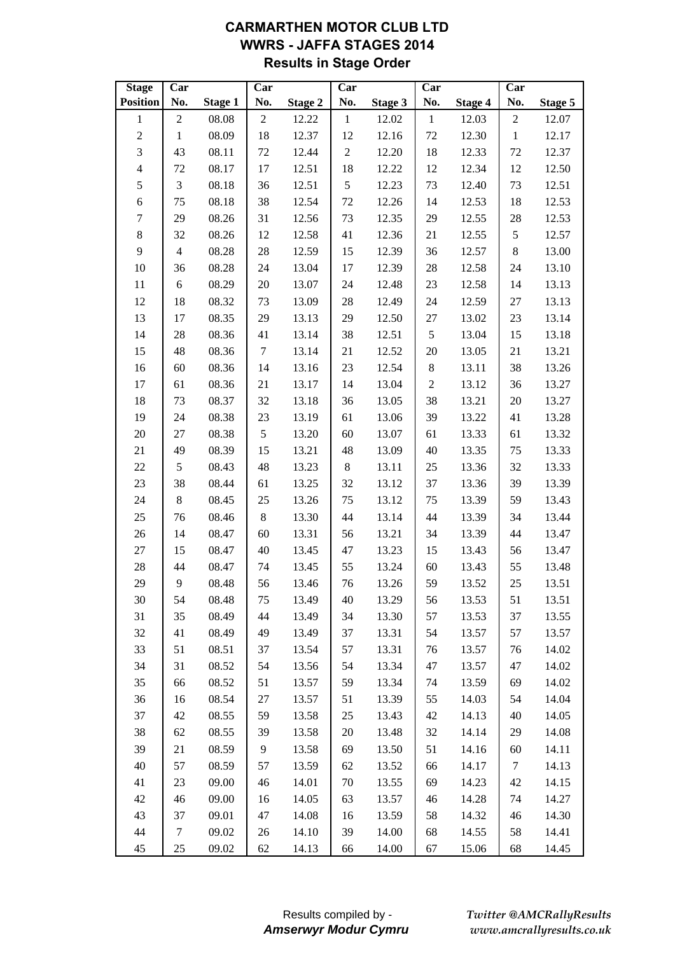# **CARMARTHEN MOTOR CLUB LTD WWRS - JAFFA STAGES 2014 Results in Stage Order**

| <b>Stage</b>            | Car            |         | Car              |                | Car            |         | Car              |                | Car              |         |
|-------------------------|----------------|---------|------------------|----------------|----------------|---------|------------------|----------------|------------------|---------|
| <b>Position</b>         | No.            | Stage 1 | No.              | <b>Stage 2</b> | No.            | Stage 3 | No.              | <b>Stage 4</b> | No.              | Stage 5 |
| $\mathbf{1}$            | $\sqrt{2}$     | 08.08   | $\boldsymbol{2}$ | 12.22          | $\mathbf{1}$   | 12.02   | $\mathbf{1}$     | 12.03          | $\boldsymbol{2}$ | 12.07   |
| $\sqrt{2}$              | $\mathbf{1}$   | 08.09   | 18               | 12.37          | 12             | 12.16   | 72               | 12.30          | $\mathbf{1}$     | 12.17   |
| $\overline{\mathbf{3}}$ | 43             | 08.11   | 72               | 12.44          | $\sqrt{2}$     | 12.20   | 18               | 12.33          | 72               | 12.37   |
| $\overline{4}$          | 72             | 08.17   | 17               | 12.51          | 18             | 12.22   | 12               | 12.34          | 12               | 12.50   |
| 5                       | $\mathfrak{Z}$ | 08.18   | 36               | 12.51          | $\mathfrak{S}$ | 12.23   | 73               | 12.40          | 73               | 12.51   |
| $\sqrt{6}$              | 75             | 08.18   | 38               | 12.54          | 72             | 12.26   | 14               | 12.53          | 18               | 12.53   |
| $\boldsymbol{7}$        | 29             | 08.26   | 31               | 12.56          | 73             | 12.35   | 29               | 12.55          | 28               | 12.53   |
| $\,8\,$                 | 32             | 08.26   | 12               | 12.58          | 41             | 12.36   | 21               | 12.55          | 5                | 12.57   |
| 9                       | $\overline{4}$ | 08.28   | 28               | 12.59          | 15             | 12.39   | 36               | 12.57          | 8                | 13.00   |
| 10                      | 36             | 08.28   | 24               | 13.04          | 17             | 12.39   | $28\,$           | 12.58          | 24               | 13.10   |
| 11                      | 6              | 08.29   | 20               | 13.07          | 24             | 12.48   | 23               | 12.58          | 14               | 13.13   |
| 12                      | 18             | 08.32   | 73               | 13.09          | $28\,$         | 12.49   | 24               | 12.59          | 27               | 13.13   |
| 13                      | 17             | 08.35   | 29               | 13.13          | 29             | 12.50   | 27               | 13.02          | 23               | 13.14   |
| 14                      | 28             | 08.36   | 41               | 13.14          | 38             | 12.51   | $\mathfrak s$    | 13.04          | 15               | 13.18   |
| 15                      | 48             | 08.36   | $\tau$           | 13.14          | 21             | 12.52   | 20               | 13.05          | 21               | 13.21   |
| 16                      | 60             | 08.36   | 14               | 13.16          | 23             | 12.54   | $8\,$            | 13.11          | 38               | 13.26   |
| 17                      | 61             | 08.36   | 21               | 13.17          | 14             | 13.04   | $\boldsymbol{2}$ | 13.12          | 36               | 13.27   |
| 18                      | 73             | 08.37   | 32               | 13.18          | 36             | 13.05   | 38               | 13.21          | $20\,$           | 13.27   |
| 19                      | 24             | 08.38   | 23               | 13.19          | 61             | 13.06   | 39               | 13.22          | 41               | 13.28   |
| 20                      | 27             | 08.38   | $\mathfrak s$    | 13.20          | 60             | 13.07   | 61               | 13.33          | 61               | 13.32   |
| 21                      | 49             | 08.39   | 15               | 13.21          | 48             | 13.09   | 40               | 13.35          | 75               | 13.33   |
| 22                      | 5              | 08.43   | 48               | 13.23          | $8\,$          | 13.11   | 25               | 13.36          | 32               | 13.33   |
| 23                      | 38             | 08.44   | 61               | 13.25          | 32             | 13.12   | 37               | 13.36          | 39               | 13.39   |
| 24                      | $8\,$          | 08.45   | 25               | 13.26          | 75             | 13.12   | 75               | 13.39          | 59               | 13.43   |
| 25                      | 76             | 08.46   | $\,8\,$          | 13.30          | 44             | 13.14   | 44               | 13.39          | 34               | 13.44   |
| $26\,$                  | 14             | 08.47   | 60               | 13.31          | 56             | 13.21   | 34               | 13.39          | 44               | 13.47   |
| $27\,$                  | 15             | 08.47   | 40               | 13.45          | 47             | 13.23   | 15               | 13.43          | 56               | 13.47   |
| 28                      | 44             | 08.47   | 74               | 13.45          | 55             | 13.24   | 60               | 13.43          | 55               | 13.48   |
| 29                      | 9              | 08.48   | 56               | 13.46          | 76             | 13.26   | 59               | 13.52          | 25               | 13.51   |
| 30                      | 54             | 08.48   | 75               | 13.49          | 40             | 13.29   | 56               | 13.53          | 51               | 13.51   |
| 31                      | 35             | 08.49   | 44               | 13.49          | 34             | 13.30   | 57               | 13.53          | 37               | 13.55   |
| 32                      | 41             | 08.49   | 49               | 13.49          | 37             | 13.31   | 54               | 13.57          | 57               | 13.57   |
| 33                      | 51             | 08.51   | 37               | 13.54          | 57             | 13.31   | 76               | 13.57          | 76               | 14.02   |
| 34                      | 31             | 08.52   | 54               | 13.56          | 54             | 13.34   | 47               | 13.57          | 47               | 14.02   |
| 35                      | 66             | 08.52   | 51               | 13.57          | 59             | 13.34   | 74               | 13.59          | 69               | 14.02   |
| 36                      | 16             | 08.54   | $27\,$           | 13.57          | 51             | 13.39   | 55               | 14.03          | 54               | 14.04   |
| 37                      | 42             | 08.55   | 59               | 13.58          | 25             | 13.43   | 42               | 14.13          | 40               | 14.05   |
| 38                      | 62             | 08.55   | 39               | 13.58          | $20\,$         | 13.48   | 32               | 14.14          | 29               | 14.08   |
| 39                      | 21             | 08.59   | 9                | 13.58          | 69             | 13.50   | 51               | 14.16          | 60               | 14.11   |
| 40                      | 57             | 08.59   | 57               | 13.59          | 62             | 13.52   | 66               | 14.17          | $\tau$           | 14.13   |
| 41                      | 23             | 09.00   | 46               | 14.01          | $70\,$         | 13.55   | 69               | 14.23          | 42               | 14.15   |
| 42                      | 46             | 09.00   | 16               | 14.05          | 63             | 13.57   | $46\,$           | 14.28          | 74               | 14.27   |
| 43                      | 37             | 09.01   | 47               | 14.08          | 16             | 13.59   | 58               | 14.32          | 46               | 14.30   |
| 44                      | 7              | 09.02   | 26               | 14.10          | 39             | 14.00   | 68               | 14.55          | 58               | 14.41   |
| 45                      | 25             | 09.02   | 62               | 14.13          | 66             | 14.00   | 67               | 15.06          | 68               | 14.45   |